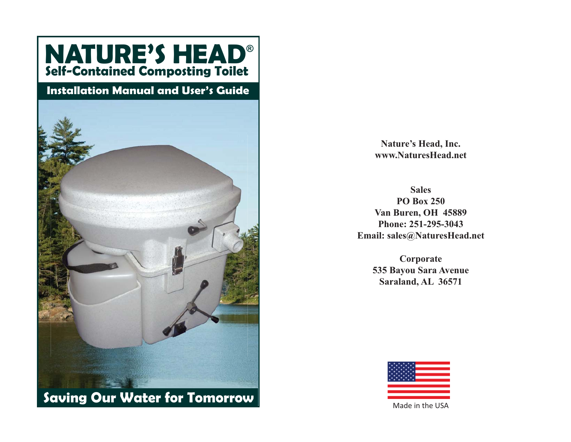

**Nature's Head, Inc. www.NaturesHead.net**

**SalesPO Box 250Van Buren, OH 45889 Phone: 251-295-3043Email: sales@NaturesHead.net**

> **Corporate 535 Bayou Sara Avenue Saraland, AL 36571**



Made in the USA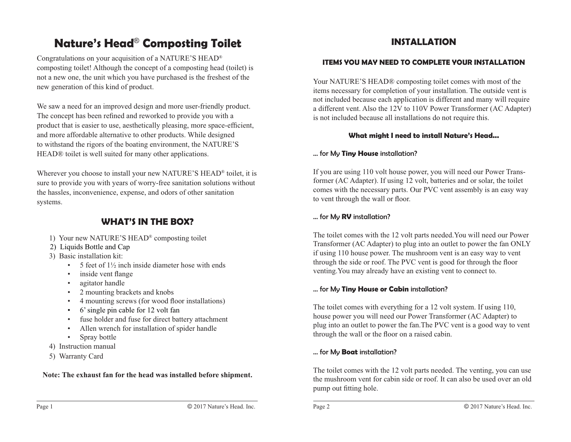# **Nature's Head**® **Composting Toilet**

Congratulations on your acquisition of a NATURE'S HEAD® composting toilet! Although the concept of a composting head (toilet) is not a new one, the unit which you have purchased is the freshest of the new generation of this kind of product.

We saw a need for an improved design and more user-friendly product. The concept has been refined and reworked to provide you with a product that is easier to use, aesthetically pleasing, more space-efficient, and more affordable alternative to other products. While designed to withstand the rigors of the boating environment, the NATURE'S HEAD® toilet is well suited for many other applications.

Wherever you choose to install your new NATURE'S HEAD® toilet, it is sure to provide you with years of worry-free sanitation solutions without the hassles, inconvenience, expense, and odors of other sanitation systems.

# **WHAT'S IN THE BOX?**

- 1) Your new NATURE'S HEAD® composting toilet
- 2) Liquids Bottle and Cap
- 3) Basic installation kit:
	- 5 feet of  $1\frac{1}{2}$  inch inside diameter hose with ends
	- inside vent flange
	- agitator handle
	- 2 mounting brackets and knobs
	- 4 mounting screws (for wood floor installations)
	- 6' single pin cable for 12 volt fan
	- fuse holder and fuse for direct battery attachment
	- Allen wrench for installation of spider handle
	- Spray bottle
- 4) Instruction manual
- 5) Warranty Card

**Note: The exhaust fan for the head was installed before shipment.**

# **INSTALLATION**

### **ITEMS YOU MAY NEED TO COMPLETE YOUR INSTALLATION**

Your NATURE'S HEAD® composting toilet comes with most of the items necessary for completion of your installation. The outside vent is not included because each application is different and many will require a different vent. Also the 12V to 110V Power Transformer (AC Adapter) is not included because all installations do not require this.

### **What might I need to install Nature's Head...**

### ... for My **Tiny House** installation?

If you are using 110 volt house power, you will need our Power Transformer (AC Adapter). If using 12 volt, batteries and or solar, the toilet comes with the necessary parts. Our PVC vent assembly is an easy way to vent through the wall or floor.

### ... for My **RV** installation?

The toilet comes with the 12 volt parts needed.You will need our Power Transformer (AC Adapter) to plug into an outlet to power the fan ONLY if using 110 house power. The mushroom vent is an easy way to vent through the side or roof. The PVC vent is good for through the floor venting.You may already have an existing vent to connect to.

### ... for My **Tiny House or Cabin** installation?

The toilet comes with everything for a 12 volt system. If using 110, house power you will need our Power Transformer (AC Adapter) to plug into an outlet to power the fan.The PVC vent is a good way to vent through the wall or the floor on a raised cabin.

### ... for My **Boat** installation?

The toilet comes with the 12 volt parts needed. The venting, you can use the mushroom vent for cabin side or roof. It can also be used over an old pump out fitting hole.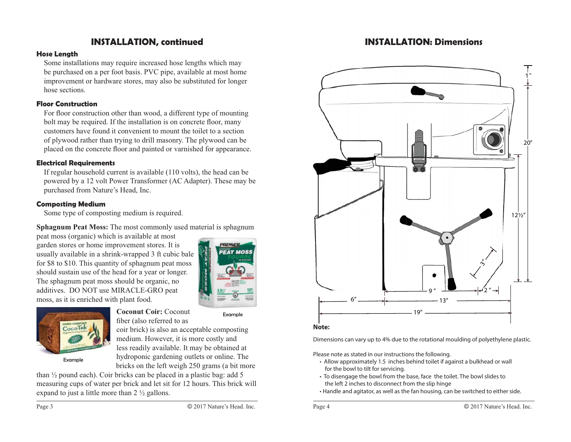### **INSTALLATION, continued**

#### **Hose Length**

Some installations may require increased hose lengths which may be purchased on a per foot basis. PVC pipe, available at most home improvement or hardware stores, may also be substituted for longer hose sections.

#### **Floor Construction**

For floor construction other than wood, a different type of mounting bolt may be required. If the installation is on concrete floor, many customers have found it convenient to mount the toilet to a section of plywood rather than trying to drill masonry. The plywood can be placed on the concrete floor and painted or varnished for appearance.

#### **Electrical Requirements**

If regular household current is available (110 volts), the head can be powered by a 12 volt Power Transformer (AC Adapter). These may be purchased from Nature's Head, Inc.

#### **Composting Medium**

Some type of composting medium is required.

**Sphagnum Peat Moss:** The most commonly used material is sphagnum

peat moss (organic) which is available at most garden stores or home improvement stores. It is usually available in a shrink-wrapped 3 ft cubic bale for \$8 to \$10. This quantity of sphagnum peat moss should sustain use of the head for a year or longer. The sphagnum peat moss should be organic, no additives. DO NOT use MIRACLE-GRO peat moss, as it is enriched with plant food.





**Coconut Coir:** Coconut fiber (also referred to as

Example

coir brick) is also an acceptable composting medium. However, it is more costly and less readily available. It may be obtained at hydroponic gardening outlets or online. The bricks on the left weigh 250 grams (a bit more

than ½ pound each). Coir bricks can be placed in a plastic bag: add 5 measuring cups of water per brick and let sit for 12 hours. This brick will expand to just a little more than 2 ½ gallons.

### **INSTALLATION: Dimensions**





Dimensions can vary up to 4% due to the rotational moulding of polyethylene plastic.

Please note as stated in our instructions the following.

- Allow approximately 1.5 inches behind toilet if against a bulkhead or wall for the bowl to tilt for servicing.
- To disengage the bowl from the base, face the toilet. The bowl slides to the left 2 inches to disconnect from the slip hinge
- Handle and agitator, as well as the fan housing, can be switched to either side.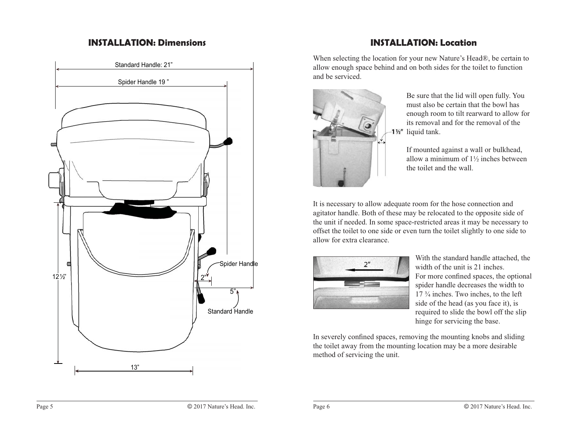### **INSTALLATION: Dimensions**



# **INSTALLATION: Location**

When selecting the location for your new Nature's Head®, be certain to allow enough space behind and on both sides for the toilet to function and be serviced.



Be sure that the lid will open fully. You must also be certain that the bowl has enough room to tilt rearward to allow for its removal and for the removal of the 1<sup>1/2"</sup> liquid tank.

If mounted against a wall or bulkhead, allow a minimum of 1½ inches between the toilet and the wall.

It is necessary to allow adequate room for the hose connection and agitator handle. Both of these may be relocated to the opposite side of the unit if needed. In some space-restricted areas it may be necessary to offset the toilet to one side or even turn the toilet slightly to one side to allow for extra clearance.



With the standard handle attached, the width of the unit is 21 inches. For more confined spaces, the optional spider handle decreases the width to  $17\frac{3}{4}$  inches. Two inches, to the left side of the head (as you face it), is required to slide the bowl off the slip hinge for servicing the base.

In severely confined spaces, removing the mounting knobs and sliding the toilet away from the mounting location may be a more desirable method of servicing the unit.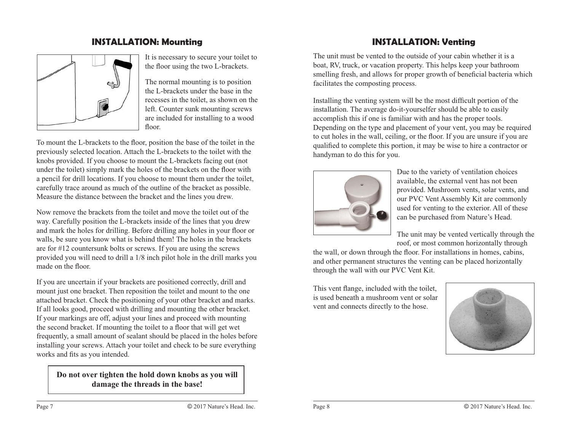## **INSTALLATION: Mounting**



It is necessary to secure your toilet to the floor using the two L-brackets.

The normal mounting is to position the L-brackets under the base in the recesses in the toilet, as shown on the left. Counter sunk mounting screws are included for installing to a wood floor.

To mount the L-brackets to the floor, position the base of the toilet in the previously selected location. Attach the L-brackets to the toilet with the knobs provided. If you choose to mount the L-brackets facing out (not under the toilet) simply mark the holes of the brackets on the floor with a pencil for drill locations. If you choose to mount them under the toilet, carefully trace around as much of the outline of the bracket as possible. Measure the distance between the bracket and the lines you drew.

Now remove the brackets from the toilet and move the toilet out of the way. Carefully position the L-brackets inside of the lines that you drew and mark the holes for drilling. Before drilling any holes in your floor or walls, be sure you know what is behind them! The holes in the brackets are for #12 countersunk bolts or screws. If you are using the screws provided you will need to drill a 1/8 inch pilot hole in the drill marks you made on the floor.

If you are uncertain if your brackets are positioned correctly, drill and mount just one bracket. Then reposition the toilet and mount to the one attached bracket. Check the positioning of your other bracket and marks. If all looks good, proceed with drilling and mounting the other bracket. If your markings are off, adjust your lines and proceed with mounting the second bracket. If mounting the toilet to a floor that will get wet frequently, a small amount of sealant should be placed in the holes before installing your screws. Attach your toilet and check to be sure everything works and fits as you intended.

**Do not over tighten the hold down knobs as you will damage the threads in the base!**

# **INSTALLATION: Venting**

The unit must be vented to the outside of your cabin whether it is a boat, RV, truck, or vacation property. This helps keep your bathroom smelling fresh, and allows for proper growth of beneficial bacteria which facilitates the composting process.

Installing the venting system will be the most difficult portion of the installation. The average do-it-yourselfer should be able to easily accomplish this if one is familiar with and has the proper tools. Depending on the type and placement of your vent, you may be required to cut holes in the wall, ceiling, or the floor. If you are unsure if you are qualified to complete this portion, it may be wise to hire a contractor or handyman to do this for you.



Due to the variety of ventilation choices available, the external vent has not been provided. Mushroom vents, solar vents, and our PVC Vent Assembly Kit are commonly used for venting to the exterior. All of these can be purchased from Nature's Head.

The unit may be vented vertically through the roof, or most common horizontally through

the wall, or down through the floor. For installations in homes, cabins, and other permanent structures the venting can be placed horizontally through the wall with our PVC Vent Kit.

This vent flange, included with the toilet, is used beneath a mushroom vent or solar vent and connects directly to the hose.

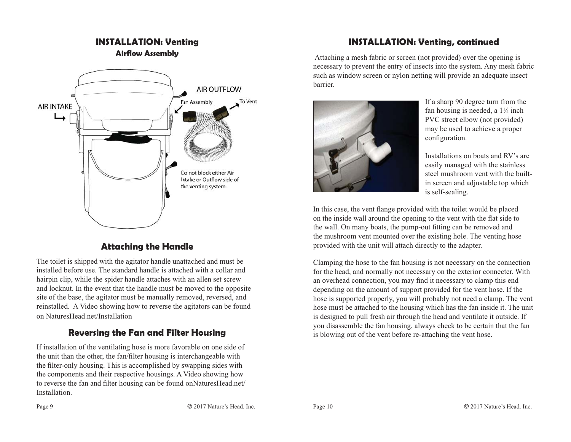

**INSTALLATION: Venting**

# **Attaching the Handle**

The toilet is shipped with the agitator handle unattached and must be installed before use. The standard handle is attached with a collar and hairpin clip, while the spider handle attaches with an allen set screw and locknut. In the event that the handle must be moved to the opposite site of the base, the agitator must be manually removed, reversed, and reinstalled. A Video showing how to reverse the agitators can be found on NaturesHead.net/Installation

# **Reversing the Fan and Filter Housing**

If installation of the ventilating hose is more favorable on one side of the unit than the other, the fan/filter housing is interchangeable with the filter-only housing. This is accomplished by swapping sides with the components and their respective housings. A Video showing how to reverse the fan and filter housing can be found onNaturesHead.net/ Installation.

# **INSTALLATION: Venting, continued**

 Attaching a mesh fabric or screen (not provided) over the opening is necessary to prevent the entry of insects into the system. Any mesh fabric such as window screen or nylon netting will provide an adequate insect barrier.



If a sharp 90 degree turn from the fan housing is needed, a  $1\frac{1}{4}$  inch PVC street elbow (not provided) may be used to achieve a proper configuration.

Installations on boats and RV's are easily managed with the stainless steel mushroom vent with the builtin screen and adjustable top which is self-sealing.

In this case, the vent flange provided with the toilet would be placed on the inside wall around the opening to the vent with the flat side to the wall. On many boats, the pump-out fitting can be removed and the mushroom vent mounted over the existing hole. The venting hose provided with the unit will attach directly to the adapter.

Clamping the hose to the fan housing is not necessary on the connection for the head, and normally not necessary on the exterior connecter. With an overhead connection, you may find it necessary to clamp this end depending on the amount of support provided for the vent hose. If the hose is supported properly, you will probably not need a clamp. The vent hose must be attached to the housing which has the fan inside it. The unit is designed to pull fresh air through the head and ventilate it outside. If you disassemble the fan housing, always check to be certain that the fan is blowing out of the vent before re-attaching the vent hose.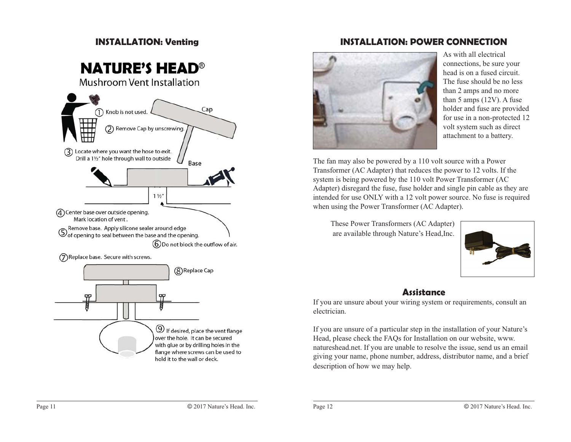## **INSTALLATION: Venting**

# **NATURE'S HEAD<sup>®</sup>**

**Mushroom Vent Installation** 



over the hole. It can be secured with glue or by drilling holes in the flange where screws can be used to hold it to the wall or deck.

# **INSTALLATION: POWER CONNECTION**



As with all electrical connections, be sure your head is on a fused circuit. The fuse should be no less than 2 amps and no more than 5 amps (12V). A fuse holder and fuse are provided for use in a non-protected 12 volt system such as direct attachment to a battery.

The fan may also be powered by a 110 volt source with a Power Transformer (AC Adapter) that reduces the power to 12 volts. If the system is being powered by the 110 volt Power Transformer (AC Adapter) disregard the fuse, fuse holder and single pin cable as they are intended for use ONLY with a 12 volt power source. No fuse is required when using the Power Transformer (AC Adapter).

These Power Transformers (AC Adapter) are available through Nature's Head,Inc.



### **Assistance**

If you are unsure about your wiring system or requirements, consult an electrician.

If you are unsure of a particular step in the installation of your Nature's Head, please check the FAQs for Installation on our website, www. natureshead.net. If you are unable to resolve the issue, send us an email giving your name, phone number, address, distributor name, and a brief description of how we may help.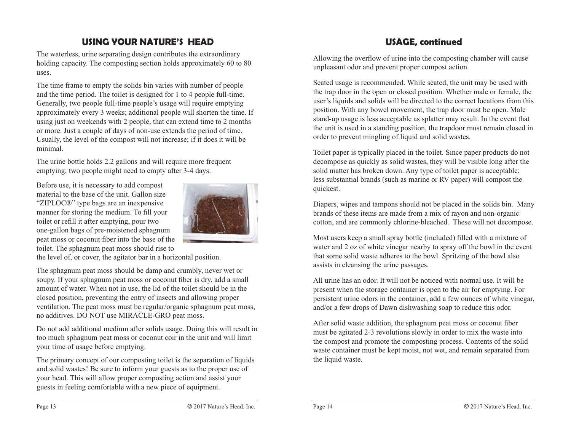# **USING YOUR NATURE'S HEAD**

The waterless, urine separating design contributes the extraordinary holding capacity. The composting section holds approximately 60 to 80 uses.

The time frame to empty the solids bin varies with number of people and the time period. The toilet is designed for 1 to 4 people full-time. Generally, two people full-time people's usage will require emptying approximately every 3 weeks; additional people will shorten the time. If using just on weekends with 2 people, that can extend time to 2 months or more. Just a couple of days of non-use extends the period of time. Usually, the level of the compost will not increase; if it does it will be minimal.

The urine bottle holds 2.2 gallons and will require more frequent emptying; two people might need to empty after 3-4 days.

Before use, it is necessary to add compost material to the base of the unit. Gallon size "ZIPLOC®" type bags are an inexpensive manner for storing the medium. To fill your toilet or refill it after emptying, pour two one-gallon bags of pre-moistened sphagnum peat moss or coconut fiber into the base of the toilet. The sphagnum peat moss should rise to



the level of, or cover, the agitator bar in a horizontal position.

The sphagnum peat moss should be damp and crumbly, never wet or soupy. If your sphagnum peat moss or coconut fiber is dry, add a small amount of water. When not in use, the lid of the toilet should be in the closed position, preventing the entry of insects and allowing proper ventilation. The peat moss must be regular/organic sphagnum peat moss, no additives. DO NOT use MIRACLE-GRO peat moss.

Do not add additional medium after solids usage. Doing this will result in too much sphagnum peat moss or coconut coir in the unit and will limit your time of usage before emptying.

The primary concept of our composting toilet is the separation of liquids and solid wastes! Be sure to inform your guests as to the proper use of your head. This will allow proper composting action and assist your guests in feeling comfortable with a new piece of equipment.

# **USAGE, continued**

Allowing the overflow of urine into the composting chamber will cause unpleasant odor and prevent proper compost action.

Seated usage is recommended. While seated, the unit may be used with the trap door in the open or closed position. Whether male or female, the user's liquids and solids will be directed to the correct locations from this position. With any bowel movement, the trap door must be open. Male stand-up usage is less acceptable as splatter may result. In the event that the unit is used in a standing position, the trapdoor must remain closed in order to prevent mingling of liquid and solid wastes.

Toilet paper is typically placed in the toilet. Since paper products do not decompose as quickly as solid wastes, they will be visible long after the solid matter has broken down. Any type of toilet paper is acceptable; less substantial brands (such as marine or RV paper) will compost the quickest.

Diapers, wipes and tampons should not be placed in the solids bin. Many brands of these items are made from a mix of rayon and non-organic cotton, and are commonly chlorine-bleached. These will not decompose.

Most users keep a small spray bottle (included) filled with a mixture of water and 2 oz of white vinegar nearby to spray off the bowl in the event that some solid waste adheres to the bowl. Spritzing of the bowl also assists in cleansing the urine passages.

All urine has an odor. It will not be noticed with normal use. It will be present when the storage container is open to the air for emptying. For persistent urine odors in the container, add a few ounces of white vinegar, and/or a few drops of Dawn dishwashing soap to reduce this odor.

After solid waste addition, the sphagnum peat moss or coconut fiber must be agitated 2-3 revolutions slowly in order to mix the waste into the compost and promote the composting process. Contents of the solid waste container must be kept moist, not wet, and remain separated from the liquid waste.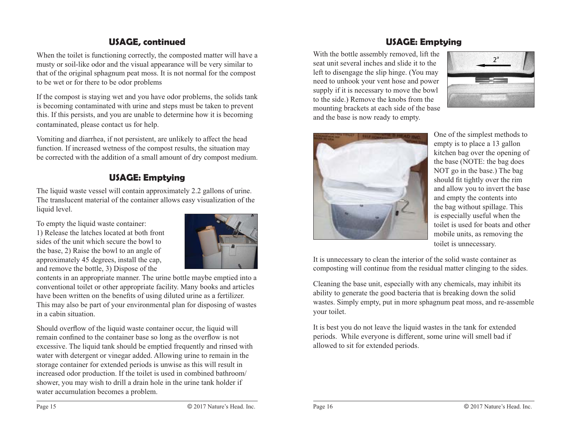# **USAGE, continued**

When the toilet is functioning correctly, the composted matter will have a musty or soil-like odor and the visual appearance will be very similar to that of the original sphagnum peat moss. It is not normal for the compost to be wet or for there to be odor problems

If the compost is staying wet and you have odor problems, the solids tank is becoming contaminated with urine and steps must be taken to prevent this. If this persists, and you are unable to determine how it is becoming contaminated, please contact us for help.

Vomiting and diarrhea, if not persistent, are unlikely to affect the head function. If increased wetness of the compost results, the situation may be corrected with the addition of a small amount of dry compost medium.

# **USAGE: Emptying**

The liquid waste vessel will contain approximately 2.2 gallons of urine. The translucent material of the container allows easy visualization of the liquid level.

To empty the liquid waste container:

1) Release the latches located at both front sides of the unit which secure the bowl to the base, 2) Raise the bowl to an angle of approximately 45 degrees, install the cap, and remove the bottle, 3) Dispose of the



contents in an appropriate manner. The urine bottle maybe emptied into a conventional toilet or other appropriate facility. Many books and articles have been written on the benefits of using diluted urine as a fertilizer. This may also be part of your environmental plan for disposing of wastes in a cabin situation.

Should overflow of the liquid waste container occur, the liquid will remain confined to the container base so long as the overflow is not excessive. The liquid tank should be emptied frequently and rinsed with water with detergent or vinegar added. Allowing urine to remain in the storage container for extended periods is unwise as this will result in increased odor production. If the toilet is used in combined bathroom/ shower, you may wish to drill a drain hole in the urine tank holder if water accumulation becomes a problem.

# **USAGE: Emptying**

With the bottle assembly removed, lift the seat unit several inches and slide it to the left to disengage the slip hinge. (You may need to unhook your vent hose and power supply if it is necessary to move the bowl to the side.) Remove the knobs from the mounting brackets at each side of the base and the base is now ready to empty.





One of the simplest methods to empty is to place a 13 gallon kitchen bag over the opening of the base (NOTE: the bag does NOT go in the base.) The bag should fit tightly over the rim and allow you to invert the base and empty the contents into the bag without spillage. This is especially useful when the toilet is used for boats and other mobile units, as removing the toilet is unnecessary.

It is unnecessary to clean the interior of the solid waste container as composting will continue from the residual matter clinging to the sides.

Cleaning the base unit, especially with any chemicals, may inhibit its ability to generate the good bacteria that is breaking down the solid wastes. Simply empty, put in more sphagnum peat moss, and re-assemble your toilet.

It is best you do not leave the liquid wastes in the tank for extended periods. While everyone is different, some urine will smell bad if allowed to sit for extended periods.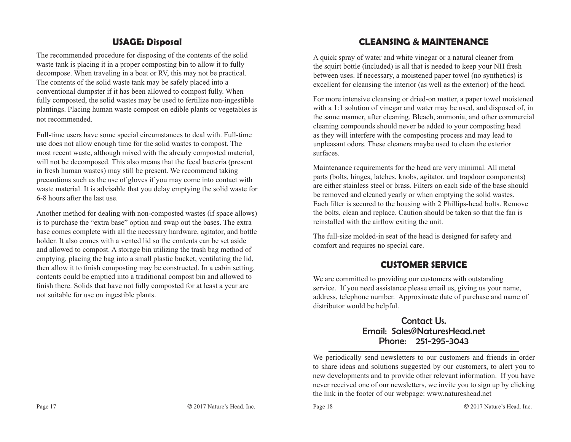# **USAGE: Disposal**

The recommended procedure for disposing of the contents of the solid waste tank is placing it in a proper composting bin to allow it to fully decompose. When traveling in a boat or RV, this may not be practical. The contents of the solid waste tank may be safely placed into a conventional dumpster if it has been allowed to compost fully. When fully composted, the solid wastes may be used to fertilize non-ingestible plantings. Placing human waste compost on edible plants or vegetables is not recommended.

Full-time users have some special circumstances to deal with. Full-time use does not allow enough time for the solid wastes to compost. The most recent waste, although mixed with the already composted material, will not be decomposed. This also means that the fecal bacteria (present in fresh human wastes) may still be present. We recommend taking precautions such as the use of gloves if you may come into contact with waste material. It is advisable that you delay emptying the solid waste for 6-8 hours after the last use.

Another method for dealing with non-composted wastes (if space allows) is to purchase the "extra base" option and swap out the bases. The extra base comes complete with all the necessary hardware, agitator, and bottle holder. It also comes with a vented lid so the contents can be set aside and allowed to compost. A storage bin utilizing the trash bag method of emptying, placing the bag into a small plastic bucket, ventilating the lid, then allow it to finish composting may be constructed. In a cabin setting, contents could be emptied into a traditional compost bin and allowed to finish there. Solids that have not fully composted for at least a year are not suitable for use on ingestible plants.

# **CLEANSING & MAINTENANCE**

A quick spray of water and white vinegar or a natural cleaner from the squirt bottle (included) is all that is needed to keep your NH fresh between uses. If necessary, a moistened paper towel (no synthetics) is excellent for cleansing the interior (as well as the exterior) of the head.

For more intensive cleansing or dried-on matter, a paper towel moistened with a 1:1 solution of vinegar and water may be used, and disposed of, in the same manner, after cleaning. Bleach, ammonia, and other commercial cleaning compounds should never be added to your composting head as they will interfere with the composting process and may lead to unpleasant odors. These cleaners maybe used to clean the exterior surfaces.

Maintenance requirements for the head are very minimal. All metal parts (bolts, hinges, latches, knobs, agitator, and trapdoor components) are either stainless steel or brass. Filters on each side of the base should be removed and cleaned yearly or when emptying the solid wastes. Each filter is secured to the housing with 2 Phillips-head bolts. Remove the bolts, clean and replace. Caution should be taken so that the fan is reinstalled with the airflow exiting the unit.

The full-size molded-in seat of the head is designed for safety and comfort and requires no special care.

# **CUSTOMER SERVICE**

We are committed to providing our customers with outstanding service. If you need assistance please email us, giving us your name, address, telephone number. Approximate date of purchase and name of distributor would be helpful.

### Contact Us.Email: Sales@NaturesHead.netPhone: 251-295-3043

We periodically send newsletters to our customers and friends in order to share ideas and solutions suggested by our customers, to alert you to new developments and to provide other relevant information. If you have never received one of our newsletters, we invite you to sign up by clicking the link in the footer of our webpage: www.natureshead.net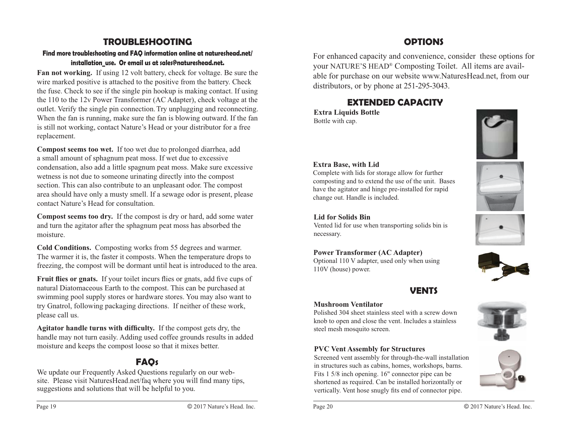# **TROUBLESHOOTING**

#### **Find more troubleshooting and FAQ information online at natureshead.net/ installation\_use. Or email us at sales@natureshead.net.**

**Fan not working.** If using 12 volt battery, check for voltage. Be sure the wire marked positive is attached to the positive from the battery. Check the fuse. Check to see if the single pin hookup is making contact. If using the 110 to the 12v Power Transformer (AC Adapter), check voltage at the outlet. Verify the single pin connection. Try unplugging and reconnecting. When the fan is running, make sure the fan is blowing outward. If the fan is still not working, contact Nature's Head or your distributor for a free replacement.

**Compost seems too wet.** If too wet due to prolonged diarrhea, add a small amount of sphagnum peat moss. If wet due to excessive condensation, also add a little spagnum peat moss. Make sure excessive wetness is not due to someone urinating directly into the compost section. This can also contribute to an unpleasant odor. The compost area should have only a musty smell. If a sewage odor is present, please contact Nature's Head for consultation.

**Compost seems too dry.** If the compost is dry or hard, add some water and turn the agitator after the sphagnum peat moss has absorbed the moisture.

**Cold Conditions.** Composting works from 55 degrees and warmer. The warmer it is, the faster it composts. When the temperature drops to freezing, the compost will be dormant until heat is introduced to the area.

**Fruit flies or gnats.** If your toilet incurs flies or gnats, add five cups of natural Diatomaceous Earth to the compost. This can be purchased at swimming pool supply stores or hardware stores. You may also want to try Gnatrol, following packaging directions. If neither of these work, please call us.

**Agitator handle turns with difficulty.** If the compost gets dry, the handle may not turn easily. Adding used coffee grounds results in added moisture and keeps the compost loose so that it mixes better.

# **FAQs**

We update our Frequently Asked Questions regularly on our web site. Please visit NaturesHead.net/faq where you will find many tips, suggestions and solutions that will be helpful to you.

For enhanced capacity and convenience, consider these options for your NATURE'S HEAD® Composting Toilet. All items are available for purchase on our website www.NaturesHead.net, from our distributors, or by phone at 251-295-3043.

# **EXTENDED CAPACITY**

**Extra Liquids Bottle** Bottle with cap.



#### **Extra Base, with Lid**

Complete with lids for storage allow for further composting and to extend the use of the unit. Bases have the agitator and hinge pre-installed for rapid change out. Handle is included.

#### **Lid for Solids Bin**

Vented lid for use when transporting solids bin is necessary.

#### **Power Transformer (AC Adapter)**

Optional 110 V adapter, used only when using 110V (house) power.

### **VENTS**

#### **Mushroom Ventilator**

Polished 304 sheet stainless steel with a screw down knob to open and close the vent. Includes a stainless steel mesh mosquito screen.

#### **PVC Vent Assembly for Structures**

Screened vent assembly for through-the-wall installation in structures such as cabins, homes, workshops, barns. Fits 1 5/8 inch opening. 16" connector pipe can be shortened as required. Can be installed horizontally or vertically. Vent hose snugly fits end of connector pipe.